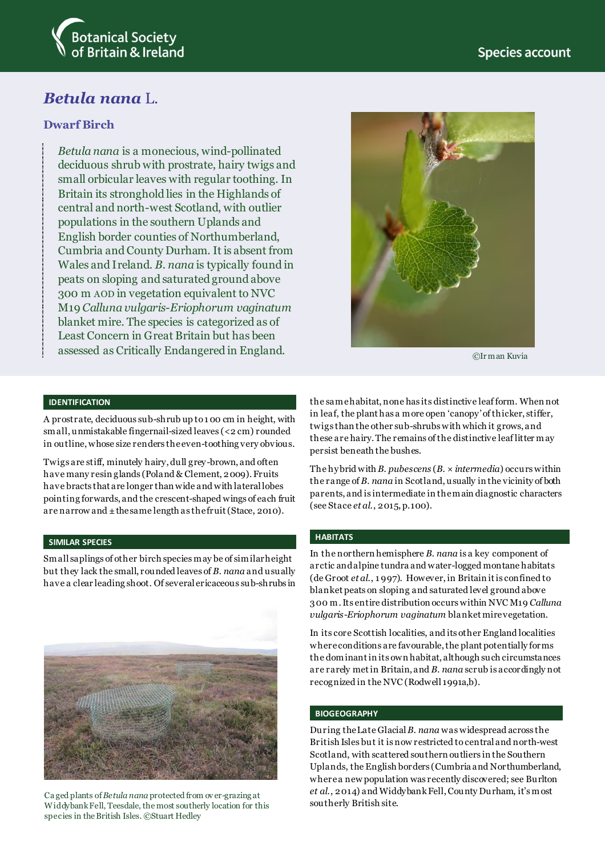

# *Betula nana* L.

# **Dwarf Birch**

*Betula nana* is a monecious, wind-pollinated deciduous shrub with prostrate, hairy twigs and small orbicular leaves with regular toothing. In Britain its stronghold lies in the Highlands of central and north-west Scotland, with outlier populations in the southern Uplands and English border counties of Northumberland, Cumbria and County Durham. It is absent from Wales and Ireland. *B. nana* is typically found in peats on sloping and saturated ground above 300 m AOD in vegetation equivalent to NVC M19 *Calluna vulgaris*-*Eriophorum vaginatum* blanket mire. The species is categorized as of Least Concern in Great Britain but has been assessed as Critically Endangered in England.



©Ir man Kuvia

#### **IDENTIFICATION**

A prostrate, deciduous sub-shrub up to 1 00 cm in height, with small, unmistakable fingernail-sized leaves (<2 cm) rounded in outline, whose size renders the even-toothing very obvious.

Twigs are stiff, minutely hairy, dull grey-brown, and often have many resin glands (Poland & Clement, 2009). Fruits have bracts that are longer than wide and with lateral lobes pointing forwards, and the crescent-shaped wings of each fruit are narrow and ±the same length as the fruit (Stace, 2010).

#### **SIMILAR SPECIES**

Small saplings of other birch species may be of similar height but they lack the small, rounded leaves of *B. nana* and usually have a clear leading shoot. Of several ericaceous sub-shrubs in



Ca ged plants of *Betula nana* protected from ov er-grazing at Widdybank Fell, Teesdale, the most southerly location for this species in the British Isles. ©Stuart Hedley

the same habitat, none has its distinctive leaf form. When not in leaf, the plant has a more open 'canopy' of thicker, stiffer, twigs than the other sub-shrubs with which it grows, and these are hairy. The remains of the distinctive leaf litter may persist beneath the bushes.

The hybrid with *B. pubescens* (*B*. × *intermedia*) occurs within the range of *B. nana* in Scotland, usually in the vicinity of both parents, and is intermediate in the main diagnostic characters (see Stace *et al*., 2015, p.100).

#### **HABITATS**

In the northern hemisphere *B. nana* is a key component of arctic and alpine tundra and water-logged montane habitats (de Groot *et al*., 1 997). However, in Britain it is confined to blanket peats on sloping and saturated level ground above 300 m. Its entire distribution occurs within NVC M19 *Calluna vulgaris*-*Eriophorum vaginatum* blanket mire vegetation.

In its core Scottish localities, and its other England localities where conditions are favourable, the plant potentially forms the dominant in its own habitat, although such circumstances are rarely met in Britain, and *B. nana* scrub is accordingly not recognized in the NVC (Rodwell 1991a,b).

#### **BIOGEOGRAPHY**

During the Late Glacial *B. nana* was widespread across the British Isles but it is now restricted to central and north-west Scotland, with scattered southern outliers in the Southern Uplands, the English borders (Cumbria and Northumberland, where a new population was recently discovered; see Burlton *et al*., 2014) and Widdybank Fell, County Durham, it's most southerly British site.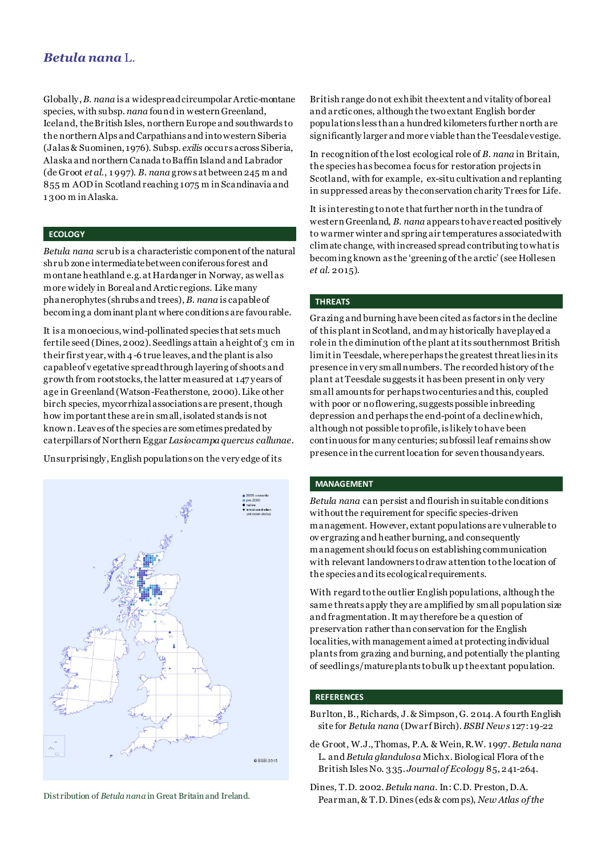# *Betula nana* L.

Globally,*B. nana* is a widespread circumpolar Arctic-montane species, with subsp. *nana* found in western Greenland, Iceland, the British Isles, northern Europe and southwards to the northern Alps and Carpathians and into western Siberia (Jalas & Suominen, 1976). Subsp. *exilis* occurs across Siberia, Alaska and northern Canada to Baffin Island and Labrador (de Groot *et al*., 1 997). *B. nana* grows at between 245 m and 855 m AOD in Scotland reaching 1075 m in Scandinavia and 1 300 m in Alaska.

## **ECOLOGY**

*Betula nana* scrub is a characteristic component of the natural shrub zone intermediate between coniferous forest and montane heathland e.g. at Hardanger in Norway, as well as more widely in Boreal and Arctic regions. Like many phanerophytes (shrubs and trees), *B. nana* is capable of becoming a dominant plant where conditions are favourable.

It is a monoecious, wind-pollinated species that sets much fertile seed (Dines, 2002). Seedlings attain a height of 3 cm in their first year, with 4-6 true leaves, and the plant is also capable of v egetative spread through layering of shoots and growth from rootstocks, the latter measured at 147 years of age in Greenland (Watson-Featherstone, 2000). Like other birch species, mycorrhizal associations are present, though how important these are in small, isolated stands is not known. Leaves of the species are sometimes predated by caterpillars of Northern Eggar *Lasiocampa quercus callunae*.

Unsurprisingly, English populations on the very edge of its



British range do not exhibit the extent and vitality of boreal and arctic ones, although the two extant English border populations less than a hundred kilometers further north are significantly larger and more viable than the Teesdale vestige.

In recognition of the lost ecological role of *B. nana* in Britain, the species has become a focus for restoration projects in Scotland, with for example, ex-situ cultivation and replanting in suppressed areas by the conservation charity Trees for Life.

It is interesting to note that further north in the tundra of western Greenland, *B. nana* appears to havereacted positively to warmer winter and spring air temperatures associated with climate change, with increased spread contributing to what is becoming known as the 'greening of the arctic' (see Hollesen *et al*. 2015).

### **THREATS**

Grazing and burning have been cited as factors in the decline of this plant in Scotland, and may historically have played a role in the diminution of the plant at its southernmost British limit in Teesdale, where perhaps the greatest threat lies in its presence in very small numbers. The recorded history of the plant at Teesdale suggests it has been present in only very small amounts for perhaps two centuries and this, coupled with poor or no flowering, suggests possible inbreeding depression and perhaps the end-point of a decline which, although not possible to profile, is likely to have been continuous for many centuries; subfossil leaf remains show presence in the current location for seven thousand years.

#### **MANAGEMENT**

*Betula nana* can persist and flourish in suitable conditions without the requirement for specific species-driven management. However, extant populations are vulnerable to ov ergrazing and heather burning, and consequently management should focus on establishing communication with relevant landowners to draw attention to the location of the species and its ecological requirements.

With regard to the outlier English populations, although the same threats apply they are amplified by small population size and fragmentation. It may therefore be a question of preservation rather than conservation for the English localities, with management aimed at protecting individual plants from grazing and burning, and potentially the planting of seedlings/mature plants to bulk up the extant population.

## **REFERENCES**

- Burlton, B., Richards, J. & Simpson, G. 2014. A fourth English site for *Betula nana* (Dwarf Birch). *BSBI News* 127: 19-22
- de Groot, W.J., Thomas, P.A. & Wein, R.W. 1997. *Betula nana* L. and *Betula glandulosa* Michx. Biological Flora of the British Isles No. 335. *Journal of Ecology* 85, 241-264.
- Dines, T.D. 2002. *Betula nana*. In: C.D. Preston, D.A. Distribution of *Betula nana* in Great Britain and Ireland. **Pearman, & T.D. Dines (eds & comps)**, *New Atlas of the*